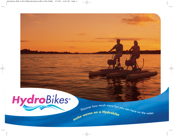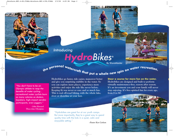# Introducing<br>**Introducing** By ShoreMaster

the personal watercraft that put a whole new spin on water recreation.

*"You don't have to be an Olympic athlete to reap the benefits of water cycling... recreational water cyclists burn as many calories as skaters, kayakers, high-impact aerobic participants, even joggers."*

> *–John Howard Three-time Olympian*

**Hydrobikes go faster, ride easier, maneuver better and give you surprising stability in the water. So you can explore more places, experience more activities and enjoy the ride like never before. Keeping fit was never so easy and so much fun. This is real off-road biking, with the whole lake, river or shoreline at your feet.**

"Hydrobikes are great fun at our youth camps. But more importantly, they're a great way to spend quality time with the kids in a quiet, calm and enjoyable setting." *–Pastor Ken Carlson*

**Hydrobikes are designed and built to perform virtually maintenance-free, season after season. It's an investment you and your family will never stop enjoying. It's free-spirited fun for every age,**

**Steer a course for more fun on the water.**

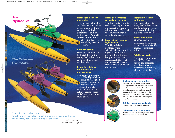### *The 2-Person Hydrobike*

*The* 

*Hydrobike* 

#### **Engineered for fun and value**

**The exceptional quality of Hydrobikes is evident in every feature. They are geared for highperformance and low maintenance. You will be amazed at how little effort it takes to pedal on a lake, river or ocean.**

#### **Built for safety**

**From its stability to its high visibility on the water, the Hydrobike is engineered for a safe, reliable ride.**

#### **Propeller-driven for the fastest performance**

**This is no slow paddle boat. The Hydrobike's computer-designed propulsion system features a 90% efficient propeller which allows you to achieve cruise speeds of 4-6 mph with minimum effort.**

#### **High-performance propulsion system**

**The lower drive train is sealed water-tight, providing protection even in salty seawater. The chain uses environmentally friendly lubricants.** 

#### **Surprisingly strong, light and fast**

**The Hydrobike's pontoons were scientifically developed by a professional canoe designer for optimum buoyancy, speed and maneuverability. That means you will have a smooth ride even in very choppy water.**

#### **Incredibly steady and sturdy**

**Stable enough to dive from, the Hydrobike can also handle rough water conditions, including five foot ocean swells.**

#### **Peace and quiet**

**The Hydrobike is engineered for silence. It won't disturb wildlife habitats—or fishing holes.**

#### **Totally portable**

**Fits in most mini-vans and SUV's. One person can assemble and disassemble the Hydrobike in minutes, without any tools**



#### **Ideal for narrow and shallow water, the Hydrobike can operate in less than**

**Shallow water is no problem** 

**one foot of water. If the drive train and propeller encounter rocks or sand, it automatically pivots up and over the obstacle. You can even pedal right up onto the beach without damaging the propeller or rudder.**

**E-Z Carrying straps (optional) Loading and unloading is a breeze.**

#### **Built-in storage compartment**

**Stow extra clothes, beverages and cargo. There's even a handy cup holder.**

"...we find the Hydrobike a refreshing new technology which promotes our vision for the safe, non-polluting, non-intrusive sharing of our lakes." *—Conservation Trust*

*Meredith, New Hampshire.*